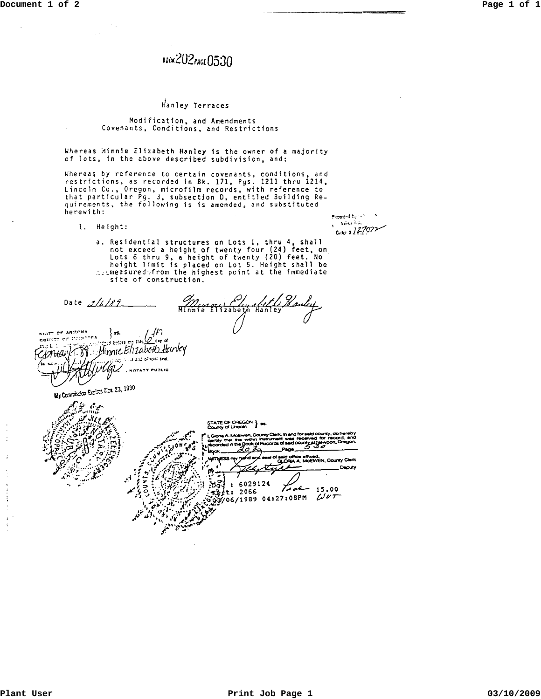# воек 202 *РАСЕ* 0530

## Hanley Terraces

### Modification. and Amendments Covenants, Conditions. and Restrictions

Whereas Minnie Elizabeth Hanley is the owner of a majority of lots, in the above described subdivision, and:

Whereas by reference to certain covenants, conditions, and restrictions, as recorded in Bk. 171, Pys. 1211 thru 1214, Lincoln Co .• Oregon, microfilm records, with reference to that particular Pg. J, subsectjon 0, entitled Building Re quirements, the following is is amended, and substituted herewith:

1. Height:

. Accorded by  $\mathbb{R}^{n\times n}$  . **\4:'1.f 1.\:.**   $6$ <sub>000</sub> + 127077

a. Residential structures on Lots I, thru 4, shall not exceed a height of twenty four (24) feet, on.<br>Lots 6 thru 9, a height of twenty (20) feet. No height limit is placed on Lot 5. Height shall be ::.".measured·,from the highest point at the immediate site of construction.

Monte Mizabeth Hanley Ha Date *1/6/89* 

STATT OF ARIZONA  $\}$  ss.  $\frac{3}{25}$  before my this  $\mathcal{Q}$  day of COUNTY OF INCHATORA e il t Minnic Elizabeth Hernley has been also pricial seal.  $M$  NOTARY PUBLIC



÷

 $\ddot{i}$  $\ddot{\phantom{1}}$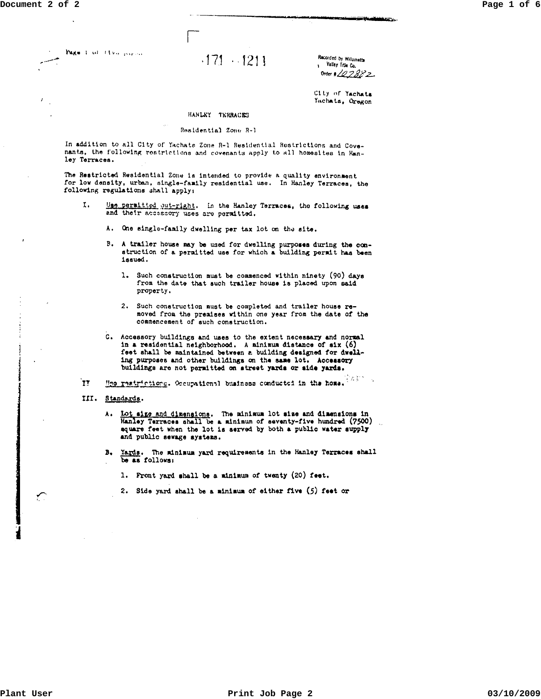Magnet all effect payment

 $-171 - 1211$ 

Recorded by Willamette I Valley True Co. Order # 107882

City of Yachata Yachats, Oregon

#### HANLEY TERRACES

#### Residential Zone R-1

In addition to all City of Yachata Zone R-1 Residential Rostrictions and Covenants, the following restrictions and covenants apply to all homesites in Hanley Terraces.

The Restricted Residential Zone is intended to provide a quality environment for low density, urban, single-family residential use. In Hanley Terraces, the following regulations shall apply:

- Use permitted out-right. In the Hanley Terraces, the following uses and their accessory uses are permitted. τ.
	- A. One single-family dwelling per tax lot on the site.
	- B. A trailer house may be used for dwelling purposes during the construction of a permitted use for which a building permit has been issued.
		- 1. Such construction must be commenced within ninety (90) days from the date that such trailer house is placed upon said property.
		- 2. Such construction must be completed and trailer house removed from the premises within one year from the date of the commencement of such construction.
	- C. Accessory buildings and uses to the extent necessary and normal in a residential neighborhood. A minimum distance of  $\text{six}(6)$ feet shall be maintained between a building designed for dwelling purposes and other buildings on the same lot. Accessory buildings are not permitted on street yards or side yards.

## Hee restrictions. Occupational business conducted in the home.  $\frac{1}{2}n\frac{2\pi}{3}$  $T$

- III. Standards.
	- Lot size and dimensions. The minimum lot size and dimensions in Λ. Hanley Terraces shall be a minimum of seventy-five hundred (7500) square feet when the lot is served by both a public water supply and public sewage systems.
	- B. Yards. The minimum yard requirements in the Hanley Terraces shall be as follows:
		- 1. Front yard shall be a minimum of twenty (20) feet.
		- 2. Side yard shall be a minimum of either five (5) feet or

 $\sum_{i=1}^n$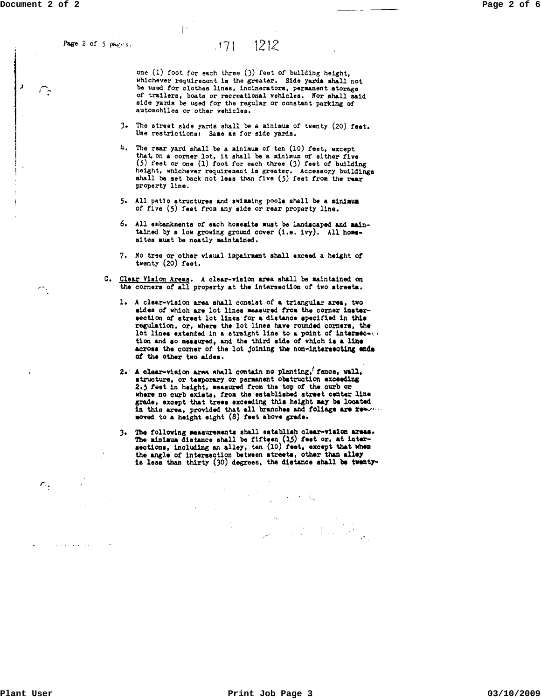Page 2 of 5 pages.

 $.171 - 1212$ 

 $\left\vert \cdot\right\vert$ 

one (1) foot for each three (3) feet of building height. whichever requirement is the greater. Side yards shall not be used for clothes lines, incinerators, permanent storage of trailers, boats or recreational vehicles. Nor shall said side yards be used for the regular or constant parking of automobiles or other vehicles.

- $3.$  The street side yards shall be a minimum of twenty (20) feet. Use restrictions: Same as for side yards.
- 4. The rear yard shall be a minimum of ten (10) feet, except that, on a corner lot, it shall be a minimum of either five<br>(5) feet or one (1) foot for each three (3) feet of building height, whichever requirement is greater. Accessory buildings<br>shall be set back not less than five (5) feet from the rear property line.
- 5. All patio structures and swimming pools shall be a minimum of five (5) feet from any side or rear property line.
- 6. All embankments of each homesite must be landscaped and maintained by a low growing ground cover (1.e. ivy). All homesites must be neatly maintained.
- 7. No tree or other visual impairment shall exceed a height of twenty (20) feet.
- C. Clear Vision Areas. A clear-vision area shall be maintained on the corners of all property at the intersection of two streets.
	- 1. A clear-vision area shall consist of a triangular area, two sides of which are lot lines measured from the corner instersection of street lot lines for a distance specified in this regulation, or, where the lot lines have rounded corners, the lot lines extended in a straight line to a point of intersection and so measured, and the third side of which is a line across the corner of the lot joining the non-intersecting ends of the other two sides.
	- 2. A clear-vision area shall contain no planting, fence, wall, structure, or temporary or permanent obstruction exceeding 2.5 feet in height, measured from the top of the ourb or where no curb exists, from the established street center line<br>grade, except that trees exceeding this height may be located in this area, provided that all branches and foliage are reword moved to a height eight (8) feet above grade.
	- 3. The following measurements shall establish clear-vision areas. The minimum distance shall be fifteen (15) feet or, at inter-<br>sections, including an alley, ten (10) feet, except that when<br>the angle of intersection between streets, other than alley<br>telescontinue in the distance and the is less than thirty (30) degrees, the distance shall be twenty-

 $\epsilon$  .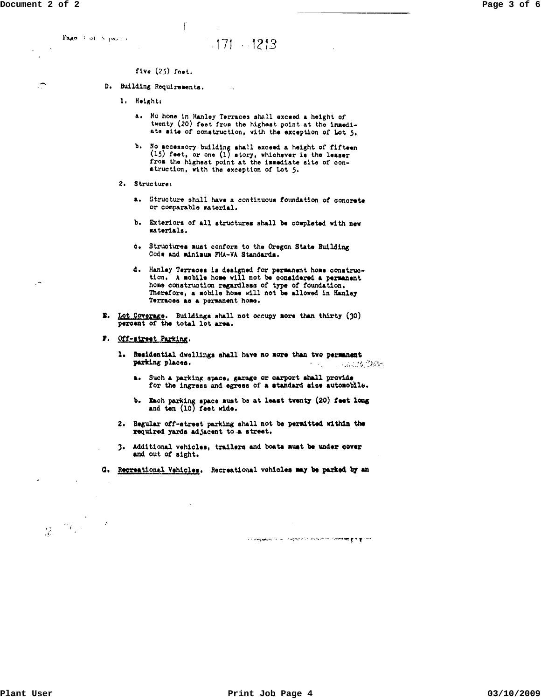$\tilde{\phantom{0}}$ 

Page 3 of 5 pages

 $171 - 1213$ 

five  $(25)$  fact.

 $\overline{1}$ 

- D. Building Requirements.
	- 1. Heights
		- a. No home in Hanley Terraces shall exceed a height of twenty (20) feet from the highest point at the immediate site of construction, with the exception of Lot 5.
		- b. No accessory building shall exceed a height of fifteen (15) feet, or one (1) story, whichever is the lesser from the highest point at the immediate site of construction, with the exception of Lot 5.
	- 2. Structure:
		- a. Structure shall have a continuous foundation of concrete or comparable material.
		- b. Exteriors of all structures shall be completed with new materials.
		- c. Structures must conform to the Oregon State Building Code and minimum FHA-VA Standards.
		- d. Hanley Terraces is designed for permanent home construction. A mobile home will not be considered a permanent home construction regardless of type of foundation. Therefore, a mobile home will not be allowed in Hanley Terraces as a permanent home.
- E. Lot Coverage. Buildings shall not occupy more than thirty (30) percent of the total lot area.
- F. Off-street Parking.
	- 1. Residential dwellings shall have no more than two permanent parking places. **Constitution** 
		- Such a parking space, garage or carport shall provide  $\ddot{\bullet}$ for the ingress and egress of a standard size automobile.
		- Each parking space must be at least twenty (20) feet long and ten (10) feet wide. ъ.
	- 2. Regular off-street parking shall not be permitted within the required yards adjacent to a street.
	- 3. Additional vehicles, trailers and boats must be under cover and out of sight.
- G. Recreational Vehicles. Recreational vehicles may be parked by an

a complete to recommendation in comment port of the

 $\frac{1}{\sqrt{2}}\left(\frac{1}{\sqrt{2}}\right)^{1/2}\left(\frac{1}{\sqrt{2}}\right)^{1/2}$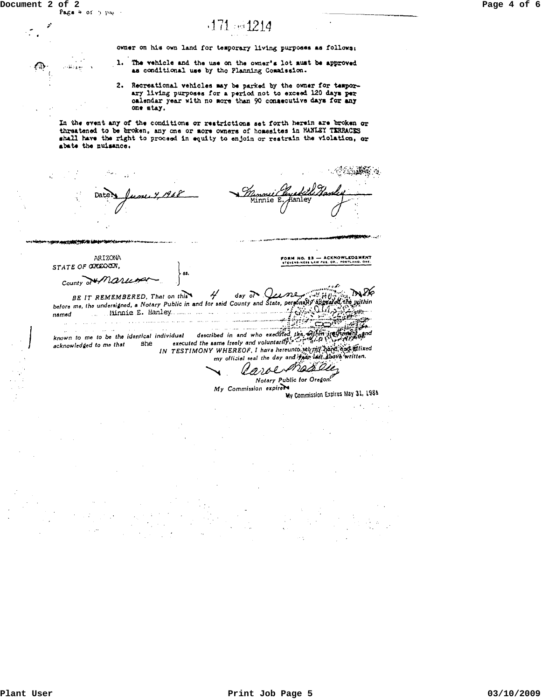ليعودنك

 $\chi^2$ 

# $-171 = 1214$

owner on his own land for temporary living purposes as follows:

The vehicle and the use on the owner's lot must be approved as conditional use by the Planning Commission.

2. Recreational vehicles may be parked by the owner for temporary living purposes for a period not to exceed 120 days per calendar year with no more than 90 consecutive days for any one stay.

In the event any of the conditions or restrictions set forth herein are broken or threatened to be broken, any one or more owners of homesites in HANLEY TERRACES shall have the right to proceed in equity to enjoin or restrain the violation, or abate the nuisance.

Minnie E.

FORM NO. 23 - ACKNOWLEDGMENT<br>STEVENS-HESS LAW PUS, CO., PORTLAND, ORE.

**ANTHUS ANDE** 

ARIZONA STATE OF ORECOON.

County of Marie

day of June BE IT REMEMBERED, That on this  $\frac{1}{2}$ BE IT REMEMBERED, That on this and for said County and State, personally appeared. The primary control of the primary control of the primary control of the primary control of the primary control of the primary control of t

known to me to be the identical individual<br>acknowledged to me that She is a secured the same iredly and who executed the same individual<br>IN TESTIMONY WHEREOF, I have hereunto, selviny hard executed the same irredly and wh

Carol Masciez Notary Public for Oregon!

My Commission expires My Commission Expires May 31, 1988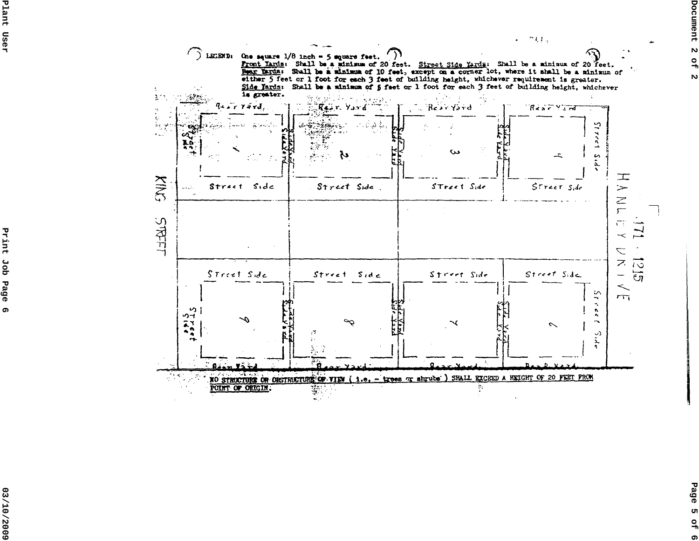

**Document** 

 $\mathbf{v}$ 

 $\frac{0}{1}$ 

 $\mathbf{v}$